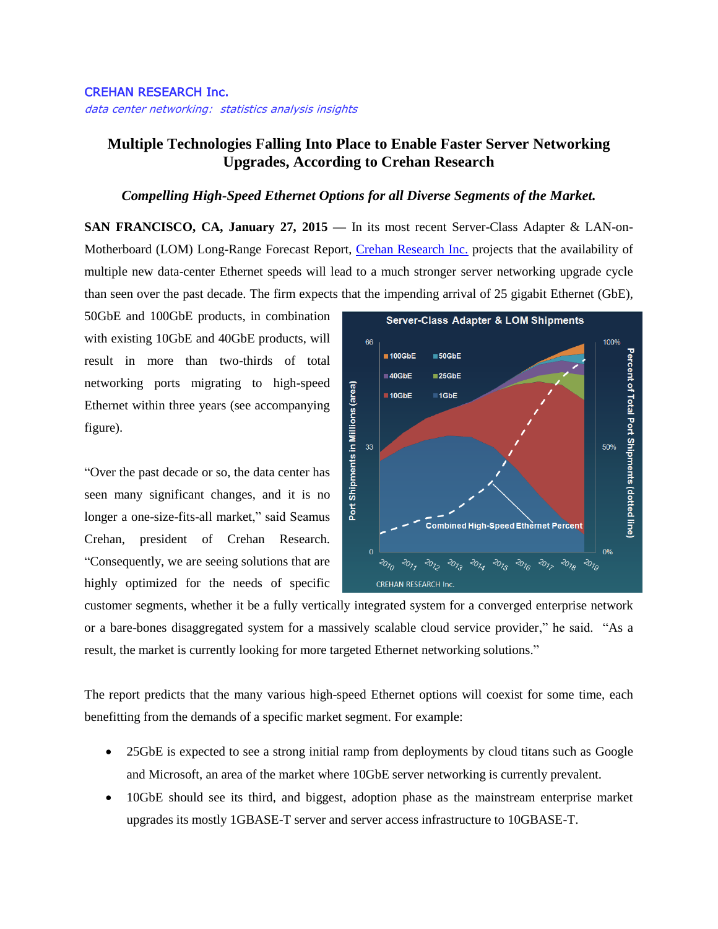## CREHAN RESEARCH Inc.

data center networking: statistics analysis insights

## **Multiple Technologies Falling Into Place to Enable Faster Server Networking Upgrades, According to Crehan Research**

## *Compelling High-Speed Ethernet Options for all Diverse Segments of the Market.*

**SAN FRANCISCO, CA, January 27, 2015 —** In its most recent Server-Class Adapter & LAN-on-Motherboard (LOM) Long-Range Forecast Report, [Crehan Research Inc.](http://www.crehanresearch.com/) projects that the availability of multiple new data-center Ethernet speeds will lead to a much stronger server networking upgrade cycle than seen over the past decade. The firm expects that the impending arrival of 25 gigabit Ethernet (GbE),

50GbE and 100GbE products, in combination with existing 10GbE and 40GbE products, will result in more than two-thirds of total networking ports migrating to high-speed Ethernet within three years (see accompanying figure).

"Over the past decade or so, the data center has seen many significant changes, and it is no longer a one-size-fits-all market," said Seamus Crehan, president of Crehan Research. "Consequently, we are seeing solutions that are highly optimized for the needs of specific



customer segments, whether it be a fully vertically integrated system for a converged enterprise network or a bare-bones disaggregated system for a massively scalable cloud service provider," he said. "As a result, the market is currently looking for more targeted Ethernet networking solutions."

The report predicts that the many various high-speed Ethernet options will coexist for some time, each benefitting from the demands of a specific market segment. For example:

- 25GbE is expected to see a strong initial ramp from deployments by cloud titans such as Google and Microsoft, an area of the market where 10GbE server networking is currently prevalent.
- 10GbE should see its third, and biggest, adoption phase as the mainstream enterprise market upgrades its mostly 1GBASE-T server and server access infrastructure to 10GBASE-T.